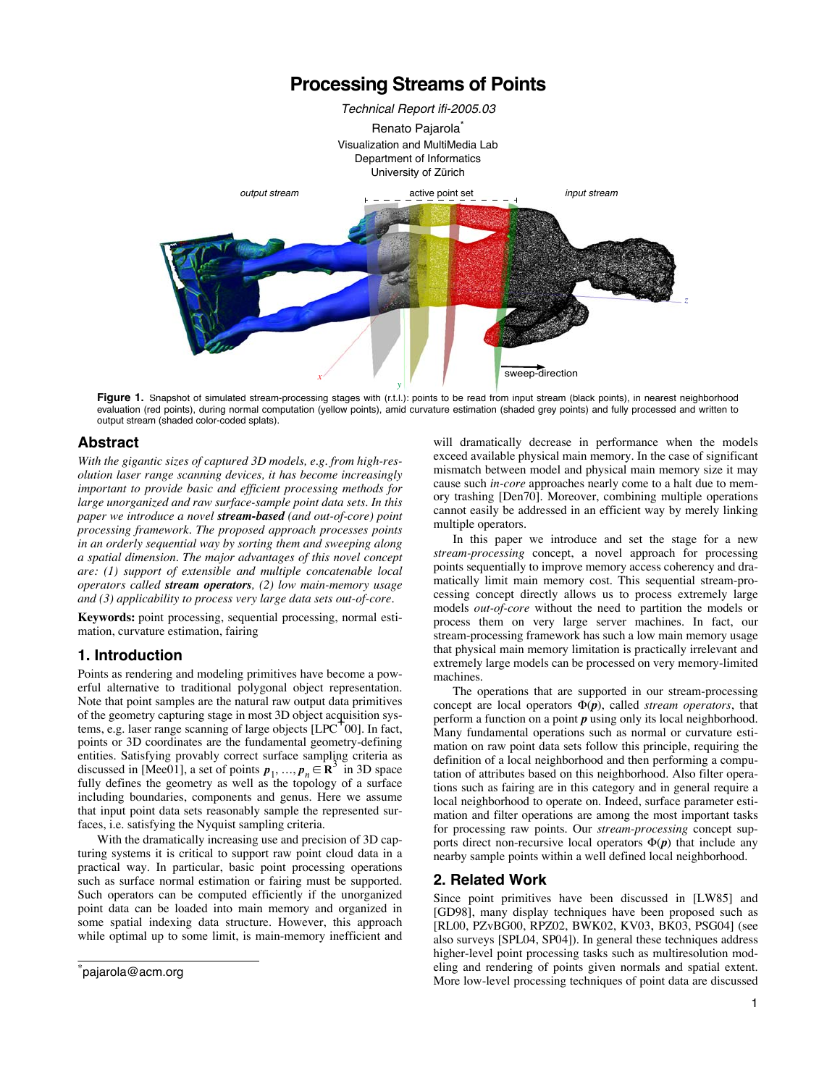

Figure 1. Snapshot of simulated stream-processing stages with (r.t.l.): points to be read from input stream (black points), in nearest neighborhood evaluation (red points), during normal computation (yellow points), amid curvature estimation (shaded grey points) and fully processed and written to output stream (shaded color-coded splats).

## **Abstract**

*With the gigantic sizes of captured 3D models, e.g. from high-resolution laser range scanning devices, it has become increasingly important to provide basic and efficient processing methods for large unorganized and raw surface-sample point data sets. In this paper we introduce a novel stream-based (and out-of-core) point processing framework. The proposed approach processes points in an orderly sequential way by sorting them and sweeping along a spatial dimension. The major advantages of this novel concept are: (1) support of extensible and multiple concatenable local operators called stream operators, (2) low main-memory usage and (3) applicability to process very large data sets out-of-core.*

**Keywords:** point processing, sequential processing, normal estimation, curvature estimation, fairing

# **1. Introduction**

Points as rendering and modeling primitives have become a powerful alternative to traditional polygonal object representation. Note that point samples are the natural raw output data primitives of the geometry capturing stage in most 3D object acquisition systems, e.g. laser range scanning of large objects [LPC<sup>+</sup>00]. In fact, points or 3D coordinates are the fundamental geometry-defining entities. Satisfying provably correct surface sampling criteria as discussed in [Mee01], a set of points  $p_1, ..., p_n \in \mathbb{R}^3$  in 3D space fully defines the geometry as well as the topology of a surface including boundaries, components and genus. Here we assume that input point data sets reasonably sample the represented surfaces, i.e. satisfying the Nyquist sampling criteria.

With the dramatically increasing use and precision of 3D capturing systems it is critical to support raw point cloud data in a practical way. In particular, basic point processing operations such as surface normal estimation or fairing must be supported. Such operators can be computed efficiently if the unorganized point data can be loaded into main memory and organized in some spatial indexing data structure. However, this approach while optimal up to some limit, is main-memory inefficient and will dramatically decrease in performance when the models exceed available physical main memory. In the case of significant mismatch between model and physical main memory size it may cause such *in-core* approaches nearly come to a halt due to memory trashing [Den70]. Moreover, combining multiple operations cannot easily be addressed in an efficient way by merely linking multiple operators.

In this paper we introduce and set the stage for a new *stream-processing* concept, a novel approach for processing points sequentially to improve memory access coherency and dramatically limit main memory cost. This sequential stream-processing concept directly allows us to process extremely large models *out-of-core* without the need to partition the models or process them on very large server machines. In fact, our stream-processing framework has such a low main memory usage that physical main memory limitation is practically irrelevant and extremely large models can be processed on very memory-limited machines.

The operations that are supported in our stream-processing concept are local operators  $\Phi(p)$ , called *stream operators*, that perform a function on a point *p* using only its local neighborhood. Many fundamental operations such as normal or curvature estimation on raw point data sets follow this principle, requiring the definition of a local neighborhood and then performing a computation of attributes based on this neighborhood. Also filter operations such as fairing are in this category and in general require a local neighborhood to operate on. Indeed, surface parameter estimation and filter operations are among the most important tasks for processing raw points. Our *stream-processing* concept supports direct non-recursive local operators  $\Phi(p)$  that include any nearby sample points within a well defined local neighborhood.

# **2. Related Work**

Since point primitives have been discussed in [LW85] and [GD98], many display techniques have been proposed such as [RL00, PZvBG00, RPZ02, BWK02, KV03, BK03, PSG04] (see also surveys [SPL04, SP04]). In general these techniques address higher-level point processing tasks such as multiresolution modeling and rendering of points given normals and spatial extent. More low-level processing techniques of point data are discussed

<sup>\*</sup> pajarola@acm.org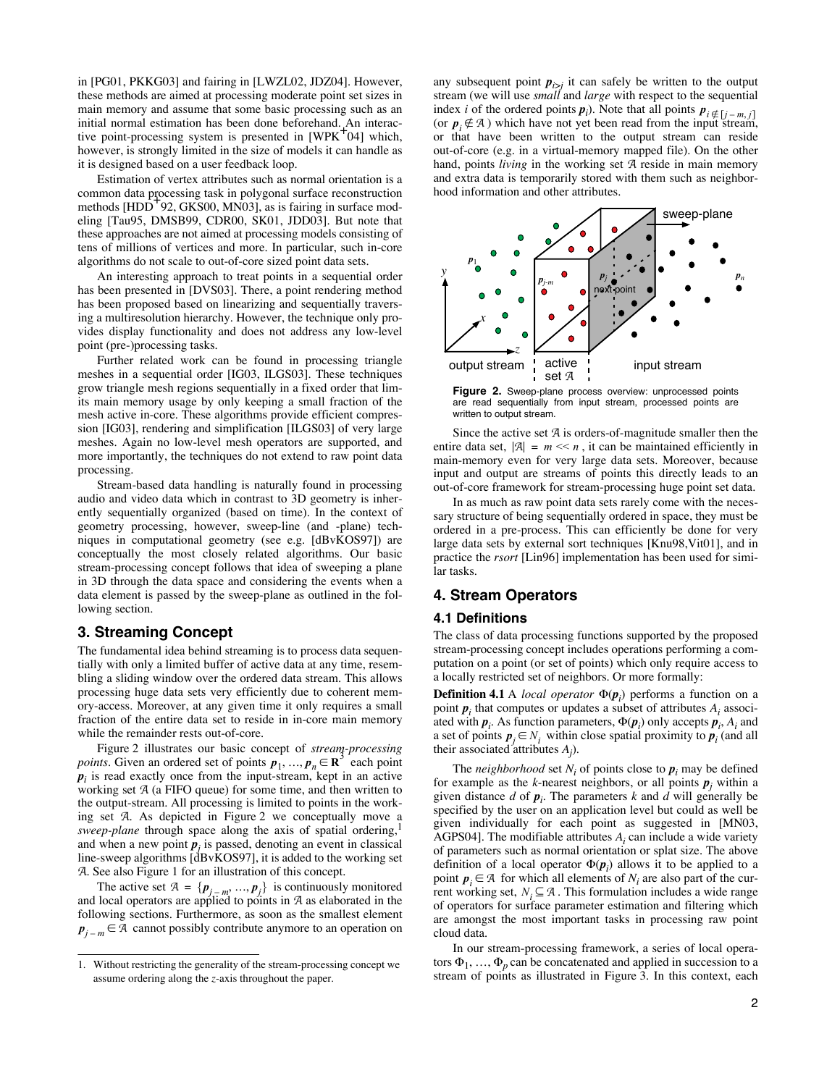in [PG01, PKKG03] and fairing in [LWZL02, JDZ04]. However, these methods are aimed at processing moderate point set sizes in main memory and assume that some basic processing such as an initial normal estimation has been done beforehand. An interactive point-processing system is presented in  $[WPK^+04]$  which, however, is strongly limited in the size of models it can handle as it is designed based on a user feedback loop.

Estimation of vertex attributes such as normal orientation is a common data processing task in polygonal surface reconstruction methods  $[HDD^{+}92, GKS00, MN03]$ , as is fairing in surface modeling [Tau95, DMSB99, CDR00, SK01, JDD03]. But note that these approaches are not aimed at processing models consisting of tens of millions of vertices and more. In particular, such in-core algorithms do not scale to out-of-core sized point data sets.

An interesting approach to treat points in a sequential order has been presented in [DVS03]. There, a point rendering method has been proposed based on linearizing and sequentially traversing a multiresolution hierarchy. However, the technique only provides display functionality and does not address any low-level point (pre-)processing tasks.

Further related work can be found in processing triangle meshes in a sequential order [IG03, ILGS03]. These techniques grow triangle mesh regions sequentially in a fixed order that limits main memory usage by only keeping a small fraction of the mesh active in-core. These algorithms provide efficient compression [IG03], rendering and simplification [ILGS03] of very large meshes. Again no low-level mesh operators are supported, and more importantly, the techniques do not extend to raw point data processing.

Stream-based data handling is naturally found in processing audio and video data which in contrast to 3D geometry is inherently sequentially organized (based on time). In the context of geometry processing, however, sweep-line (and -plane) techniques in computational geometry (see e.g. [dBvKOS97]) are conceptually the most closely related algorithms. Our basic stream-processing concept follows that idea of sweeping a plane in 3D through the data space and considering the events when a data element is passed by the sweep-plane as outlined in the following section.

## **3. Streaming Concept**

The fundamental idea behind streaming is to process data sequentially with only a limited buffer of active data at any time, resembling a sliding window over the ordered data stream. This allows processing huge data sets very efficiently due to coherent memory-access. Moreover, at any given time it only requires a small fraction of the entire data set to reside in in-core main memory while the remainder rests out-of-core.

Figure 2 illustrates our basic concept of *stream-processing points*. Given an ordered set of points  $p_1, ..., p_n \in \mathbb{R}^3$  each point  $p_i$  is read exactly once from the input-stream, kept in an active working set A (a FIFO queue) for some time, and then written to the output-stream. All processing is limited to points in the working set A. As depicted in Figure 2 we conceptually move a *sweep-plane* through space along the axis of spatial ordering,1 and when a new point  $p_i$  is passed, denoting an event in classical line-sweep algorithms  $\vec{d}$ Bv $\vec{K}$ OS97], it is added to the working set A. See also Figure 1 for an illustration of this concept.

The active set  $\mathcal{A} = \{p_{j-m}, ..., p_j\}$  is continuously monitored and local operators are applied to points in A as elaborated in the following sections. Furthermore, as soon as the smallest element  $p_{j-m} \in \mathcal{A}$  cannot possibly contribute anymore to an operation on

any subsequent point  $p_{i>j}$  it can safely be written to the output stream (we will use *small* and *large* with respect to the sequential index *i* of the ordered points  $p_i$ ). Note that all points  $p_i \notin [j-m, j]$ (or  $p_i \notin A$ ) which have not yet been read from the input stream, or that have been written to the output stream can reside out-of-core (e.g. in a virtual-memory mapped file). On the other hand, points *living* in the working set A reside in main memory and extra data is temporarily stored with them such as neighborhood information and other attributes.



**Figure 2.** Sweep-plane process overview: unprocessed points are read sequentially from input stream, processed points are written to output stream.

Since the active set A is orders-of-magnitude smaller then the entire data set,  $|\mathcal{A}| = m \ll n$ , it can be maintained efficiently in main-memory even for very large data sets. Moreover, because input and output are streams of points this directly leads to an out-of-core framework for stream-processing huge point set data.

In as much as raw point data sets rarely come with the necessary structure of being sequentially ordered in space, they must be ordered in a pre-process. This can efficiently be done for very large data sets by external sort techniques [Knu98,Vit01], and in practice the *rsort* [Lin96] implementation has been used for similar tasks.

# **4. Stream Operators**

## **4.1 Definitions**

The class of data processing functions supported by the proposed stream-processing concept includes operations performing a computation on a point (or set of points) which only require access to a locally restricted set of neighbors. Or more formally:

**Definition 4.1** A *local operator*  $\Phi(\mathbf{p}_i)$  performs a function on a point  $p_i$  that computes or updates a subset of attributes  $A_i$  associated with  $p_i$ . As function parameters,  $\Phi(p_i)$  only accepts  $p_i$ ,  $A_i$  and a set of points  $p_j \in N_i$  within close spatial proximity to  $p_i$  (and all their associated attributes *Aj* ).

The *neighborhood* set  $N_i$  of points close to  $p_i$  may be defined for example as the *k*-nearest neighbors, or all points  $p_j$  within a given distance  $d$  of  $p_i$ . The parameters  $k$  and  $d$  will generally be specified by the user on an application level but could as well be given individually for each point as suggested in [MN03, AGPS04]. The modifiable attributes *Ai* can include a wide variety of parameters such as normal orientation or splat size. The above definition of a local operator  $\Phi(\mathbf{p}_i)$  allows it to be applied to a point  $p_i \in A$  for which all elements of  $N_i$  are also part of the current working set,  $N_i \subseteq \mathcal{A}$ . This formulation includes a wide range of operators for surface parameter estimation and filtering which are amongst the most important tasks in processing raw point cloud data.

In our stream-processing framework, a series of local operators  $\Phi_1, \ldots, \Phi_p$  can be concatenated and applied in succession to a stream of points as illustrated in Figure 3. In this context, each

<sup>1.</sup> Without restricting the generality of the stream-processing concept we assume ordering along the *z*-axis throughout the paper.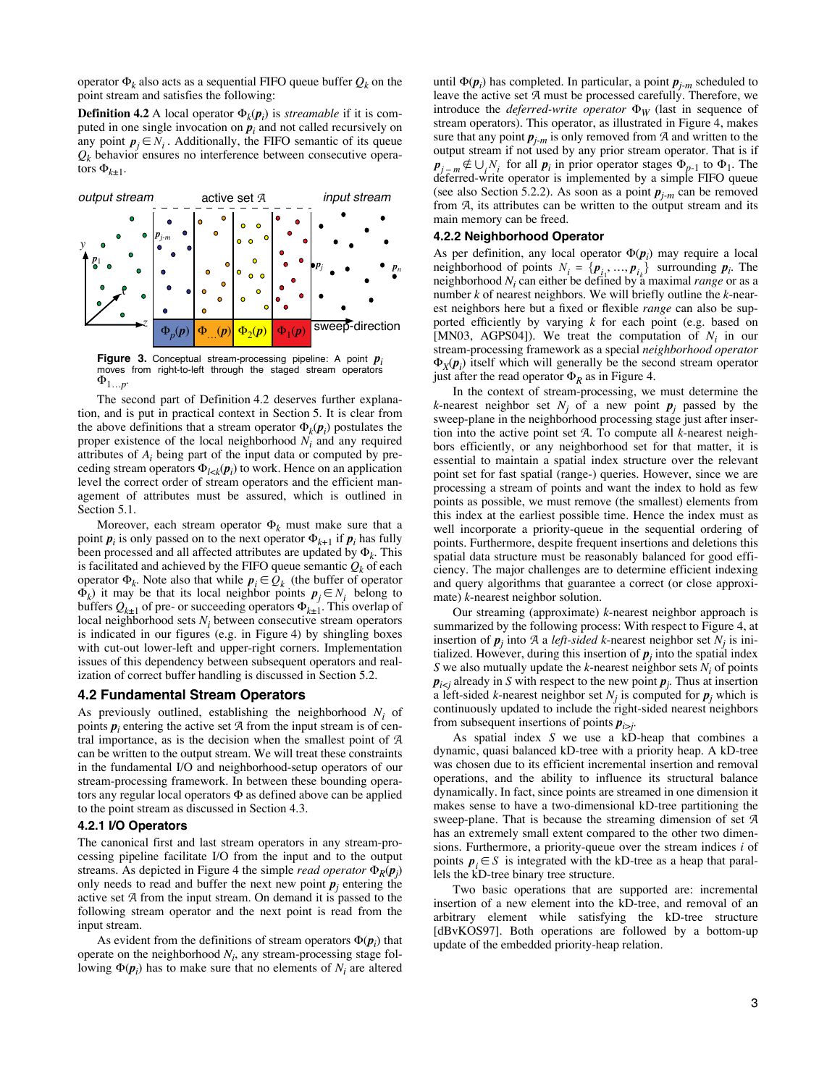operator  $\Phi_k$  also acts as a sequential FIFO queue buffer  $Q_k$  on the point stream and satisfies the following:

**Definition 4.2** A local operator  $\Phi_k(\mathbf{p}_i)$  is *streamable* if it is computed in one single invocation on  $p_i$  and not called recursively on any point  $p_j \in N_i$ . Additionally, the FIFO semantic of its queue  $Q_k$  behavior ensures no interference between consecutive operators  $\Phi_{k\pm 1}$ .



**Figure 3.** Conceptual stream-processing pipeline: A point  $p_i$  moves from right-to-left through the staged stream operators  $\Phi_{1...p}$ .

The second part of Definition 4.2 deserves further explanation, and is put in practical context in Section 5. It is clear from the above definitions that a stream operator  $\Phi_k(\boldsymbol{p}_i)$  postulates the proper existence of the local neighborhood *Ni* and any required attributes of *Ai* being part of the input data or computed by preceding stream operators  $\Phi_{l \prec k}(\boldsymbol{p}_i)$  to work. Hence on an application level the correct order of stream operators and the efficient management of attributes must be assured, which is outlined in Section 5.1.

Moreover, each stream operator  $\Phi_k$  must make sure that a point  $p_i$  is only passed on to the next operator  $\Phi_{k+1}$  if  $p_i$  has fully been processed and all affected attributes are updated by  $\Phi_k$ . This is facilitated and achieved by the FIFO queue semantic  $Q_k$  of each operator  $\Phi_k$ . Note also that while  $p_i \in Q_k$  (the buffer of operator  $\Phi_k$ ) it may be that its local neighbor points  $p_j \in N_i$  belong to buffers  $Q_{k\pm 1}$  of pre- or succeeding operators  $\Phi_{k\pm 1}$ . This overlap of local neighborhood sets *Ni* between consecutive stream operators is indicated in our figures (e.g. in Figure 4) by shingling boxes with cut-out lower-left and upper-right corners. Implementation issues of this dependency between subsequent operators and realization of correct buffer handling is discussed in Section 5.2.

# **4.2 Fundamental Stream Operators**

As previously outlined, establishing the neighborhood *Ni* of points  $p_i$  entering the active set  $\mathcal A$  from the input stream is of central importance, as is the decision when the smallest point of A can be written to the output stream. We will treat these constraints in the fundamental I/O and neighborhood-setup operators of our stream-processing framework. In between these bounding operators any regular local operators  $\Phi$  as defined above can be applied to the point stream as discussed in Section 4.3.

### **4.2.1 I/O Operators**

The canonical first and last stream operators in any stream-processing pipeline facilitate I/O from the input and to the output streams. As depicted in Figure 4 the simple *read operator*  $\Phi_R(\boldsymbol{p}_j)$ only needs to read and buffer the next new point  $p_j$  entering the active set A from the input stream. On demand it is passed to the following stream operator and the next point is read from the input stream.

As evident from the definitions of stream operators  $\Phi(\boldsymbol{p}_i)$  that operate on the neighborhood  $N_i$ , any stream-processing stage following  $\Phi(\mathbf{p}_i)$  has to make sure that no elements of  $N_i$  are altered

until !(*p<sup>i</sup>* ) has completed. In particular, a point *pj-m* scheduled to leave the active set A must be processed carefully. Therefore, we introduce the *deferred-write operator*  $\Phi_W$  (last in sequence of stream operators). This operator, as illustrated in Figure 4, makes sure that any point  $p_{j-m}$  is only removed from  $A$  and written to the output stream if not used by any prior stream operator. That is if  $\mathbf{p}_{j-m} \notin \bigcup_{i} N_i$  for all  $\mathbf{p}_i$  in prior operator stages  $\Phi_{p-1}$  to  $\Phi_1$ . The deferred-write operator is implemented by a simple FIFO queue (see also Section 5.2.2). As soon as a point  $p_{j-m}$  can be removed from A, its attributes can be written to the output stream and its main memory can be freed.

#### **4.2.2 Neighborhood Operator**

As per definition, any local operator  $\Phi(\mathbf{p}_i)$  may require a local neighborhood of points  $N_i = \{p_i, ..., p_{i_k}\}\$  surrounding  $p_i$ . The neighborhood  $N_i$  can either be defined by a maximal *range* or as a number *k* of nearest neighbors. We will briefly outline the *k*-nearest neighbors here but a fixed or flexible *range* can also be supported efficiently by varying  $k$  for each point (e.g. based on [MN03, AGPS04]). We treat the computation of  $N_i$  in our stream-processing framework as a special *neighborhood operator*  $\Phi_X(\mathbf{p}_i)$  itself which will generally be the second stream operator just after the read operator  $\Phi_R$  as in Figure 4.

In the context of stream-processing, we must determine the *k*-nearest neighbor set  $N_i$  of a new point  $p_j$  passed by the sweep-plane in the neighborhood processing stage just after insertion into the active point set A. To compute all *k*-nearest neighbors efficiently, or any neighborhood set for that matter, it is essential to maintain a spatial index structure over the relevant point set for fast spatial (range-) queries. However, since we are processing a stream of points and want the index to hold as few points as possible, we must remove (the smallest) elements from this index at the earliest possible time. Hence the index must as well incorporate a priority-queue in the sequential ordering of points. Furthermore, despite frequent insertions and deletions this spatial data structure must be reasonably balanced for good efficiency. The major challenges are to determine efficient indexing and query algorithms that guarantee a correct (or close approximate) *k*-nearest neighbor solution.

Our streaming (approximate) *k*-nearest neighbor approach is summarized by the following process: With respect to Figure 4, at insertion of  $p_j$  into A a *left-sided k*-nearest neighbor set  $N_j$  is initialized. However, during this insertion of  $p_j$  into the spatial index *S* we also mutually update the *k*-nearest neighbor sets  $N_i$  of points  $p_{i \le j}$  already in *S* with respect to the new point  $p_j$ . Thus at insertion a left-sided *k*-nearest neighbor set  $N_i$  is computed for  $p_i$  which is continuously updated to include the right-sided nearest neighbors from subsequent insertions of points  $p_{i \geq j}$ .

As spatial index *S* we use a kD-heap that combines a dynamic, quasi balanced kD-tree with a priority heap. A kD-tree was chosen due to its efficient incremental insertion and removal operations, and the ability to influence its structural balance dynamically. In fact, since points are streamed in one dimension it makes sense to have a two-dimensional kD-tree partitioning the sweep-plane. That is because the streaming dimension of set A has an extremely small extent compared to the other two dimensions. Furthermore, a priority-queue over the stream indices *i* of points  $p_i \in S$  is integrated with the kD-tree as a heap that parallels the kD-tree binary tree structure.

Two basic operations that are supported are: incremental insertion of a new element into the kD-tree, and removal of an arbitrary element while satisfying the kD-tree structure [dBvKOS97]. Both operations are followed by a bottom-up update of the embedded priority-heap relation.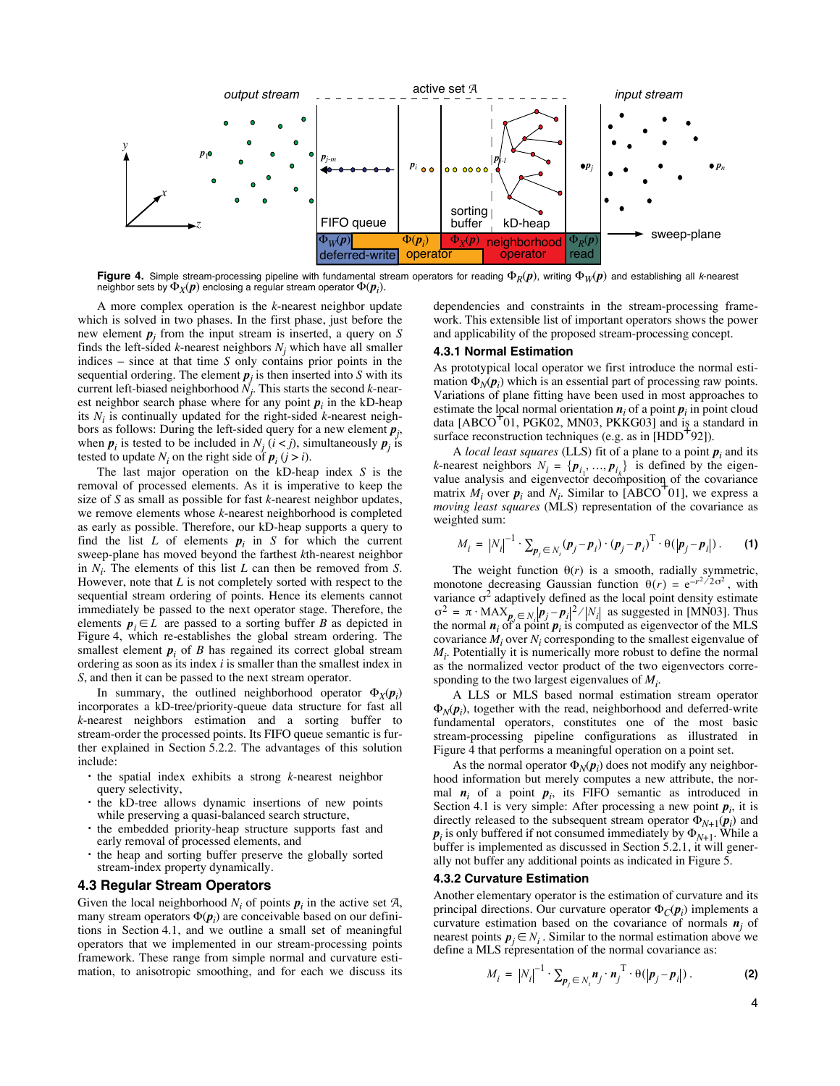

**Figure 4.** Simple stream-processing pipeline with fundamental stream operators for reading  $\Phi_R(p)$ , writing  $\Phi_W(p)$  and establishing all k-nearest neighbor sets by  $\Phi_X(\bm p)$  enclosing a regular stream operator  $\Phi(\bm p_i).$ 

A more complex operation is the *k*-nearest neighbor update which is solved in two phases. In the first phase, just before the new element  $p_j$  from the input stream is inserted, a query on *S* finds the left-sided  $k$ -nearest neighbors  $N_i$  which have all smaller indices – since at that time *S* only contains prior points in the sequential ordering. The element  $p_i$  is then inserted into *S* with its current left-biased neighborhood *Nj* . This starts the second *k*-nearest neighbor search phase where for any point  $p_i$  in the kD-heap its *Ni* is continually updated for the right-sided *k*-nearest neighbors as follows: During the left-sided query for a new element *p<sup>j</sup>* , when  $p_i$  is tested to be included in  $N_i$  ( $i < j$ ), simultaneously  $p_i$  is tested to update  $N_i$  on the right side of  $p_i$  ( $j > i$ ).

The last major operation on the kD-heap index *S* is the removal of processed elements. As it is imperative to keep the size of *S* as small as possible for fast *k*-nearest neighbor updates, we remove elements whose *k*-nearest neighborhood is completed as early as possible. Therefore, our kD-heap supports a query to find the list  $L$  of elements  $p_i$  in  $S$  for which the current sweep-plane has moved beyond the farthest *k*th-nearest neighbor in *Ni* . The elements of this list *L* can then be removed from *S*. However, note that *L* is not completely sorted with respect to the sequential stream ordering of points. Hence its elements cannot immediately be passed to the next operator stage. Therefore, the elements  $p_i \in L$  are passed to a sorting buffer *B* as depicted in Figure 4, which re-establishes the global stream ordering. The smallest element  $p_i$  of  $B$  has regained its correct global stream ordering as soon as its index *i* is smaller than the smallest index in *S*, and then it can be passed to the next stream operator.

In summary, the outlined neighborhood operator  $\Phi_X(\mathbf{p}_i)$ incorporates a kD-tree/priority-queue data structure for fast all *k*-nearest neighbors estimation and a sorting buffer to stream-order the processed points. Its FIFO queue semantic is further explained in Section 5.2.2. The advantages of this solution include:

- **•** the spatial index exhibits a strong *k*-nearest neighbor query selectivity,
- **•** the kD-tree allows dynamic insertions of new points while preserving a quasi-balanced search structure,
- **•** the embedded priority-heap structure supports fast and early removal of processed elements, and
- **•** the heap and sorting buffer preserve the globally sorted stream-index property dynamically.

## **4.3 Regular Stream Operators**

Given the local neighborhood  $N_i$  of points  $p_i$  in the active set  $A$ , many stream operators  $\Phi(\boldsymbol{p}_i)$  are conceivable based on our definitions in Section 4.1, and we outline a small set of meaningful operators that we implemented in our stream-processing points framework. These range from simple normal and curvature estimation, to anisotropic smoothing, and for each we discuss its dependencies and constraints in the stream-processing framework. This extensible list of important operators shows the power and applicability of the proposed stream-processing concept.

#### **4.3.1 Normal Estimation**

As prototypical local operator we first introduce the normal estimation  $\Phi_N(p_i)$  which is an essential part of processing raw points. Variations of plane fitting have been used in most approaches to estimate the local normal orientation  $n_i$  of a point  $p_i$  in point cloud data  $[ABCO<sup>T</sup>01, PGK02, MN03, PKKG03]$  and is a standard in surface reconstruction techniques (e.g. as in  $[HDD^+92]$ ).

A *local least squares* (LLS) fit of a plane to a point  $p_i$  and its *k*-nearest neighbors  $N_i = \{p_{i_1}, ..., p_{i_k}\}\$  is defined by the eigenvalue analysis and eigenvector decomposition of the covariance matrix  $M_i$  over  $p_i$  and  $N_i$ . Similar to [ABCO<sup>+</sup>01], we express a *moving least squares* (MLS) representation of the covariance as weighted sum:

$$
M_i = |N_i|^{-1} \cdot \sum_{\boldsymbol{p}_j \in N_i} (\boldsymbol{p}_j - \boldsymbol{p}_i) \cdot (\boldsymbol{p}_j - \boldsymbol{p}_i)^{\mathrm{T}} \cdot \theta(|\boldsymbol{p}_j - \boldsymbol{p}_i|) \,. \tag{1}
$$

The weight function  $\theta(r)$  is a smooth, radially symmetric, monotone decreasing Gaussian function  $\theta(r) = e^{-r^2/2\sigma^2}$ , with variance  $\sigma^2$  adaptively defined as the local point density estimate as suggested in [MN03]. Thus  $\sigma^2 = \pi \cdot \text{MAX}_{p_j \in N_i} |p_j - p_i|^2 / |N_i|$  as suggested in [MN03]. Thus the normal  $n_i$  of a point  $p_i$  is computed as eigenvector of the MLS covariance *Mi* over *Ni* corresponding to the smallest eigenvalue of *Mi* . Potentially it is numerically more robust to define the normal as the normalized vector product of the two eigenvectors corresponding to the two largest eigenvalues of *Mi* .

A LLS or MLS based normal estimation stream operator  $\Phi_N(\boldsymbol{p}_i)$ , together with the read, neighborhood and deferred-write fundamental operators, constitutes one of the most basic stream-processing pipeline configurations as illustrated in Figure 4 that performs a meaningful operation on a point set.

As the normal operator  $\Phi_N(\mathbf{p}_i)$  does not modify any neighborhood information but merely computes a new attribute, the normal  $n_i$  of a point  $p_i$ , its FIFO semantic as introduced in Section 4.1 is very simple: After processing a new point  $p_i$ , it is directly released to the subsequent stream operator  $\Phi_{N+1}(\boldsymbol{p}_i)$  and  $p_i$  is only buffered if not consumed immediately by  $\Phi_{N+1}$ . While a buffer is implemented as discussed in Section 5.2.1, it will generally not buffer any additional points as indicated in Figure 5.

### **4.3.2 Curvature Estimation**

Another elementary operator is the estimation of curvature and its principal directions. Our curvature operator  $\Phi_C(\boldsymbol{p}_i)$  implements a curvature estimation based on the covariance of normals  $n_i$  of nearest points  $p_j \in N_i$ . Similar to the normal estimation above we define a MLS representation of the normal covariance as:

$$
M_i = |N_i|^{-1} \cdot \sum_{p_j \in N_i} n_j \cdot n_j^{\mathrm{T}} \cdot \theta(|p_j - p_i|) \,. \tag{2}
$$

4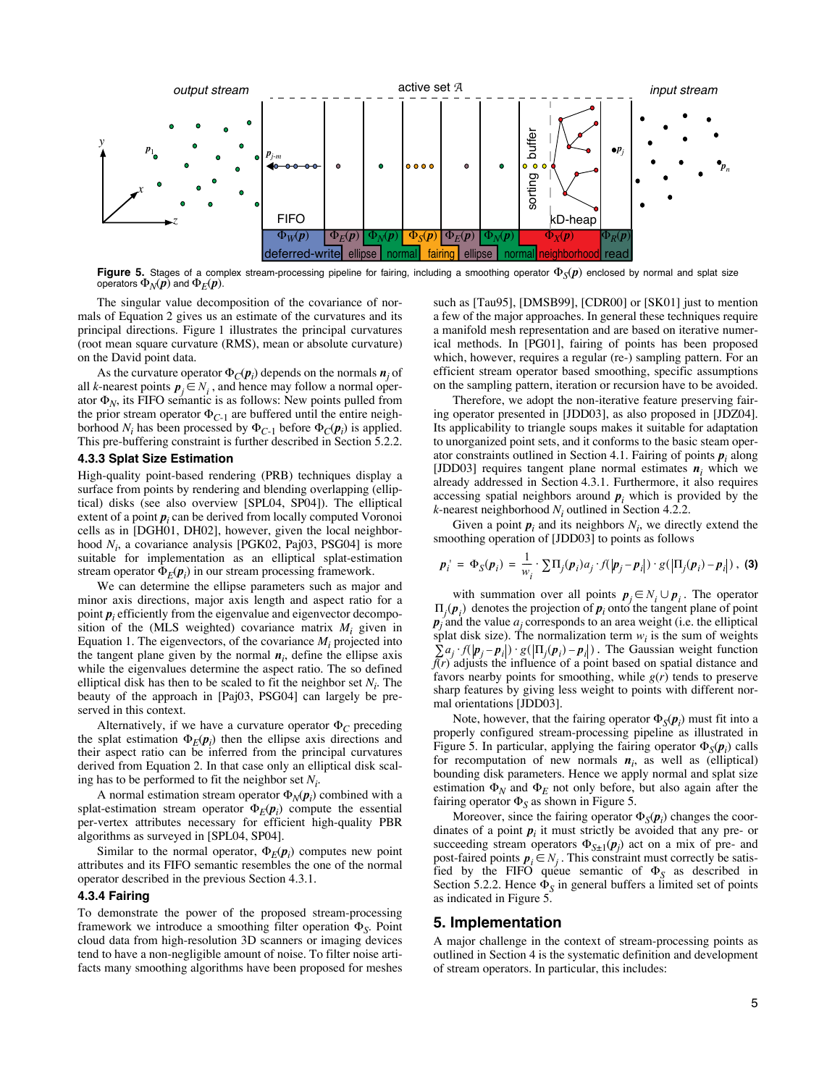

**Figure 5.** Stages of a complex stream-processing pipeline for fairing, including a smoothing operator  $\Phi_S(p)$  enclosed by normal and splat size operators  $\Phi_N(p)$  and  $\Phi_E(p)$ .

The singular value decomposition of the covariance of normals of Equation 2 gives us an estimate of the curvatures and its principal directions. Figure 1 illustrates the principal curvatures (root mean square curvature (RMS), mean or absolute curvature) on the David point data.

As the curvature operator  $\Phi_C(\boldsymbol{p}_i)$  depends on the normals  $\boldsymbol{n}_j$  of all *k*-nearest points  $p_j \in N_i$ , and hence may follow a normal operator  $\Phi_N$ , its FIFO semantic is as follows: New points pulled from the prior stream operator  $\Phi_{C-1}$  are buffered until the entire neighborhood *N<sub>i</sub>* has been processed by  $\Phi_{C-1}$  before  $\Phi_C(\boldsymbol{p}_i)$  is applied. This pre-buffering constraint is further described in Section 5.2.2.

### **4.3.3 Splat Size Estimation**

High-quality point-based rendering (PRB) techniques display a surface from points by rendering and blending overlapping (elliptical) disks (see also overview [SPL04, SP04]). The elliptical extent of a point  $p_i$  can be derived from locally computed Voronoi cells as in [DGH01, DH02], however, given the local neighborhood  $N_i$ , a covariance analysis [PGK02, Paj03, PSG04] is more suitable for implementation as an elliptical splat-estimation stream operator  $\Phi_E(\mathbf{p}_i)$  in our stream processing framework.

We can determine the ellipse parameters such as major and minor axis directions, major axis length and aspect ratio for a point  $p_i$  efficiently from the eigenvalue and eigenvector decomposition of the (MLS weighted) covariance matrix  $M_i$  given in Equation 1. The eigenvectors, of the covariance  $M_i$  projected into the tangent plane given by the normal  $n_i$ , define the ellipse axis while the eigenvalues determine the aspect ratio. The so defined elliptical disk has then to be scaled to fit the neighbor set  $N_i$ . The beauty of the approach in [Paj03, PSG04] can largely be preserved in this context.

Alternatively, if we have a curvature operator  $\Phi_C$  preceding the splat estimation  $\Phi_E(\mathbf{p}_i)$  then the ellipse axis directions and their aspect ratio can be inferred from the principal curvatures derived from Equation 2. In that case only an elliptical disk scaling has to be performed to fit the neighbor set *Ni* .

A normal estimation stream operator  $\Phi_N(\boldsymbol{p}_i)$  combined with a splat-estimation stream operator  $\Phi_E(\mathbf{p}_i)$  compute the essential per-vertex attributes necessary for efficient high-quality PBR algorithms as surveyed in [SPL04, SP04].

Similar to the normal operator,  $\Phi_E(\mathbf{p}_i)$  computes new point attributes and its FIFO semantic resembles the one of the normal operator described in the previous Section 4.3.1.

#### **4.3.4 Fairing**

To demonstrate the power of the proposed stream-processing framework we introduce a smoothing filter operation  $\Phi_S$ . Point cloud data from high-resolution 3D scanners or imaging devices tend to have a non-negligible amount of noise. To filter noise artifacts many smoothing algorithms have been proposed for meshes such as [Tau95], [DMSB99], [CDR00] or [SK01] just to mention a few of the major approaches. In general these techniques require a manifold mesh representation and are based on iterative numerical methods. In [PG01], fairing of points has been proposed which, however, requires a regular (re-) sampling pattern. For an efficient stream operator based smoothing, specific assumptions on the sampling pattern, iteration or recursion have to be avoided.

Therefore, we adopt the non-iterative feature preserving fairing operator presented in [JDD03], as also proposed in [JDZ04]. Its applicability to triangle soups makes it suitable for adaptation to unorganized point sets, and it conforms to the basic steam operator constraints outlined in Section 4.1. Fairing of points *p<sup>i</sup>* along [JDD03] requires tangent plane normal estimates  $n_i$  which we already addressed in Section 4.3.1. Furthermore, it also requires accessing spatial neighbors around  $p_i$  which is provided by the  $k$ -nearest neighborhood  $N_i$  outlined in Section 4.2.2.

Given a point  $p_i$  and its neighbors  $N_i$ , we directly extend the smoothing operation of [JDD03] to points as follows

$$
\boldsymbol{p}_i^{\top} = \boldsymbol{\Phi}_S(\boldsymbol{p}_i) = \frac{1}{w_i} \cdot \sum_i \Pi_j(\boldsymbol{p}_i) a_j \cdot f(|\boldsymbol{p}_j - \boldsymbol{p}_i|) \cdot g(|\Pi_j(\boldsymbol{p}_i) - \boldsymbol{p}_i|), \text{ (3)}
$$

with summation over all points  $p_j \in N_i \cup p_i$ . The operator  $\Pi_j(\boldsymbol{p}_i)$  denotes the projection of  $\boldsymbol{p}_i$  onto the tangent plane of point  $p_i$  and the value  $a_i$  corresponds to an area weight (i.e. the elliptical splat disk size). The normalization term  $w_i$  is the sum of weights  $\sum a_j f(p_j - p_i) \cdot g(|\Pi_j(p_i) - p_i|)$ . The Gaussian weight function  $f(r)$  adjusts the influence of a point based on spatial distance and favors nearby points for smoothing, while  $g(r)$  tends to preserve sharp features by giving less weight to points with different normal orientations [JDD03].

Note, however, that the fairing operator  $\Phi_S(\boldsymbol{p}_i)$  must fit into a properly configured stream-processing pipeline as illustrated in Figure 5. In particular, applying the fairing operator  $\Phi_S(\mathbf{p}_i)$  calls for recomputation of new normals  $n_i$ , as well as (elliptical) bounding disk parameters. Hence we apply normal and splat size estimation  $\Phi_N$  and  $\Phi_F$  not only before, but also again after the fairing operator  $\Phi_{\rm S}$  as shown in Figure 5.

Moreover, since the fairing operator  $\Phi_S(\mathbf{p}_i)$  changes the coordinates of a point  $p_i$  it must strictly be avoided that any pre- or succeeding stream operators  $\Phi_{S\pm1}(\boldsymbol{p}_j)$  act on a mix of pre- and post-faired points  $p_i \in N_j$ . This constraint must correctly be satisfied by the FIFO queue semantic of  $\Phi$ <sub>S</sub> as described in Section 5.2.2. Hence  $\Phi_{\mathcal{S}}$  in general buffers a limited set of points as indicated in Figure 5.

#### **5. Implementation**

A major challenge in the context of stream-processing points as outlined in Section 4 is the systematic definition and development of stream operators. In particular, this includes: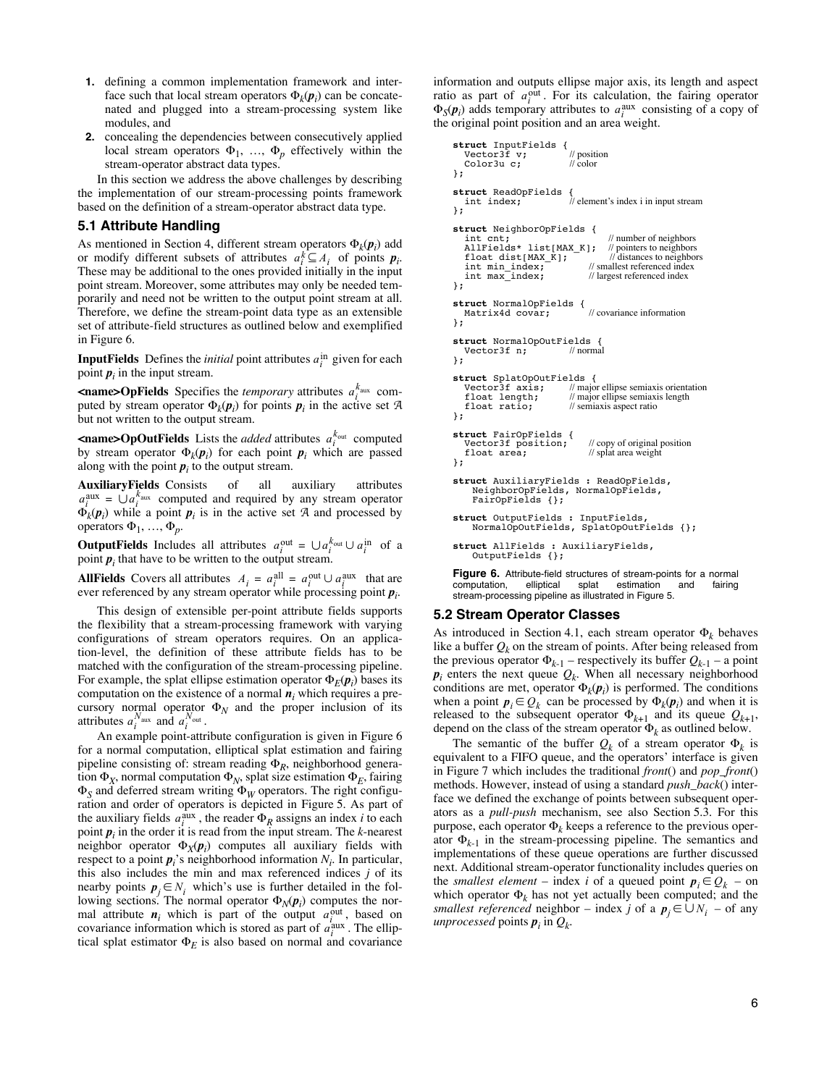- **1.** defining a common implementation framework and interface such that local stream operators  $\Phi_k(\boldsymbol{p}_i)$  can be concatenated and plugged into a stream-processing system like modules, and
- **2.** concealing the dependencies between consecutively applied local stream operators  $\Phi_1$ , ...,  $\Phi_p$  effectively within the stream-operator abstract data types.

In this section we address the above challenges by describing the implementation of our stream-processing points framework based on the definition of a stream-operator abstract data type.

### **5.1 Attribute Handling**

As mentioned in Section 4, different stream operators  $\Phi_k(\mathbf{p}_i)$  add or modify different subsets of attributes  $a_i^k \subseteq A_i$  of points  $p_i$ . These may be additional to the ones provided initially in the input point stream. Moreover, some attributes may only be needed temporarily and need not be written to the output point stream at all. Therefore, we define the stream-point data type as an extensible set of attribute-field structures as outlined below and exemplified in Figure 6.

**InputFields** Defines the *initial* point attributes  $a_i^{\text{in}}$  given for each point  $p_i$  in the input stream.

**<name>OpFields** Specifies the *temporary* attributes  $a_i^{k_{\text{aux}}}$  computed by stream operator  $\Phi_k(\boldsymbol{p}_i)$  for points  $\boldsymbol{p}_i$  in the active set A but not written to the output stream.

**<name>OpOutFields** Lists the *added* attributes  $a_i^{k_{\text{out}}}$  computed by stream operator  $\Phi_k(\boldsymbol{p}_i)$  for each point  $\boldsymbol{p}_i$  which are passed along with the point  $p_i$  to the output stream.

**AuxiliaryFields** Consists of all auxiliary attributes  $a_i^{\text{aux}} = \bigcup a_i^{\text{k}_{\text{aux}}}$  computed and required by any stream operator  $\Phi_k(\mathbf{p}_i)$  while a point  $\mathbf{p}_i$  is in the active set A and processed by operators  $\Phi_1, ..., \Phi_p$ .

**OutputFields** Includes all attributes  $a_i^{\text{out}} = \bigcup a_i^{\text{k}_{\text{out}}} \cup a_i^{\text{in}}$  of a point  $p_i$  that have to be written to the output stream.

**AllFields** Covers all attributes  $A_i = a_i^{\text{all}} = a_i^{\text{out}} \cup a_i^{\text{aux}}$  that are ever referenced by any stream operator while processing point *p<sup>i</sup>* .

This design of extensible per-point attribute fields supports the flexibility that a stream-processing framework with varying configurations of stream operators requires. On an application-level, the definition of these attribute fields has to be matched with the configuration of the stream-processing pipeline. For example, the splat ellipse estimation operator  $\Phi_E(\boldsymbol{p}_i)$  bases its computation on the existence of a normal  $n_i$  which requires a precursory normal operator  $\Phi_N$  and the proper inclusion of its attributes  $a_i^{N_{\text{aux}}}$  and  $a_i^{N_{\text{out}}}$ .

An example point-attribute configuration is given in Figure 6 for a normal computation, elliptical splat estimation and fairing pipeline consisting of: stream reading  $\Phi_R$ , neighborhood generation  $\Phi_X$ , normal computation  $\Phi_N$ , splat size estimation  $\Phi_F$ , fairing  $\Phi$ <sub>S</sub> and deferred stream writing  $\Phi$ <sub>*W*</sub> operators. The right configuration and order of operators is depicted in Figure 5. As part of the auxiliary fields  $a_i^{\text{aux}}$ , the reader  $\Phi_R$  assigns an index *i* to each point *p<sup>i</sup>* in the order it is read from the input stream. The *k*-nearest neighbor operator  $\Phi_X(\mathbf{p}_i)$  computes all auxiliary fields with respect to a point  $p_i$ 's neighborhood information  $N_i$ . In particular, this also includes the min and max referenced indices *j* of its nearby points  $p_j \in N_i$  which's use is further detailed in the following sections. The normal operator  $\Phi_N(p_i)$  computes the normal attribute  $n_i$  which is part of the output  $a_i^{\text{out}}$ , based on covariance information which is stored as part of  $a_i^{\text{aux}}$ . The elliptical splat estimator  $\Phi_E$  is also based on normal and covariance

information and outputs ellipse major axis, its length and aspect ratio as part of  $a_i^{\text{out}}$ . For its calculation, the fairing operator  $\Phi_S(\mathbf{p}_i)$  adds temporary attributes to  $a_i^{\text{aux}}$  consisting of a copy of the original point position and an area weight.

```
struct InputFields {<br>
Vector3f v; // position<br>
Color3u C: // color
   Color3u c;
};
struct ReadOpFields {
                                 \frac{1}{10} element's index i in input stream
};
struct NeighborOpFields {
int cnt;<br>
AllFields* list[MAX_K]; // pointers to neighbors<br>
float dist[MAX_K]; // distances to neighbors
int min_index; // smallest referenced index<br>int max_index; // largest referenced index<br>};
struct NormalOpFields { Matrix4d covar; // covariance information
};
struct NormalOpOutFields {
 Vector3f n; // normal
};
struct SplatOpOutFields {
 Vector3f axis; // major ellipse semiaxis orientation
   float length; \frac{1}{2} // major ellipse semiaxis length float ratio: // semiaxis aspect ratio
                                 \frac{1}{2} semiaxis aspect ratio
};
struct FairOpFields {
Vector3f position; // copy of original position<br>float area; // splat area weight
float area;<br>};
struct AuxiliaryFields : ReadOpFields,
      NeighborOpFields, NormalOpFields,
FairOpFields {};
struct OutputFields : InputFields,
     NormalOpOutFields, SplatOpOutFields {};
struct AllFields : AuxiliaryFields,
     OutputFields {};
```
**Figure 6.** Attribute-field structures of stream-points for a normal computation. Illiotical splat estimation and fairing splat estimation and stream-processing pipeline as illustrated in Figure 5.

#### **5.2 Stream Operator Classes**

As introduced in Section 4.1, each stream operator  $\Phi_k$  behaves like a buffer  $Q_k$  on the stream of points. After being released from the previous operator  $\Phi_{k-1}$  – respectively its buffer  $Q_{k-1}$  – a point  $p_i$  enters the next queue  $Q_k$ . When all necessary neighborhood conditions are met, operator  $\Phi_k(\mathbf{p}_i)$  is performed. The conditions when a point  $p_i \in Q_k$  can be processed by  $\Phi_k(p_i)$  and when it is released to the subsequent operator  $\Phi_{k+1}$  and its queue  $Q_{k+1}$ , depend on the class of the stream operator  $\Phi_k$  as outlined below.

The semantic of the buffer  $Q_k$  of a stream operator  $\Phi_k$  is equivalent to a FIFO queue, and the operators' interface is given in Figure 7 which includes the traditional *front*() and *pop\_front*() methods. However, instead of using a standard *push\_back*() interface we defined the exchange of points between subsequent operators as a *pull-push* mechanism, see also Section 5.3. For this purpose, each operator  $\Phi_k$  keeps a reference to the previous operator  $\Phi_{k-1}$  in the stream-processing pipeline. The semantics and implementations of these queue operations are further discussed next. Additional stream-operator functionality includes queries on the *smallest element* – index *i* of a queued point  $p_i \in Q_k$  – on which operator  $\Phi_k$  has not yet actually been computed; and the *smallest referenced* neighbor – index *j* of a  $p_j \in \bigcup N_i$  – of any  $unprocessed$  points  $p_i$  in  $Q_k$ .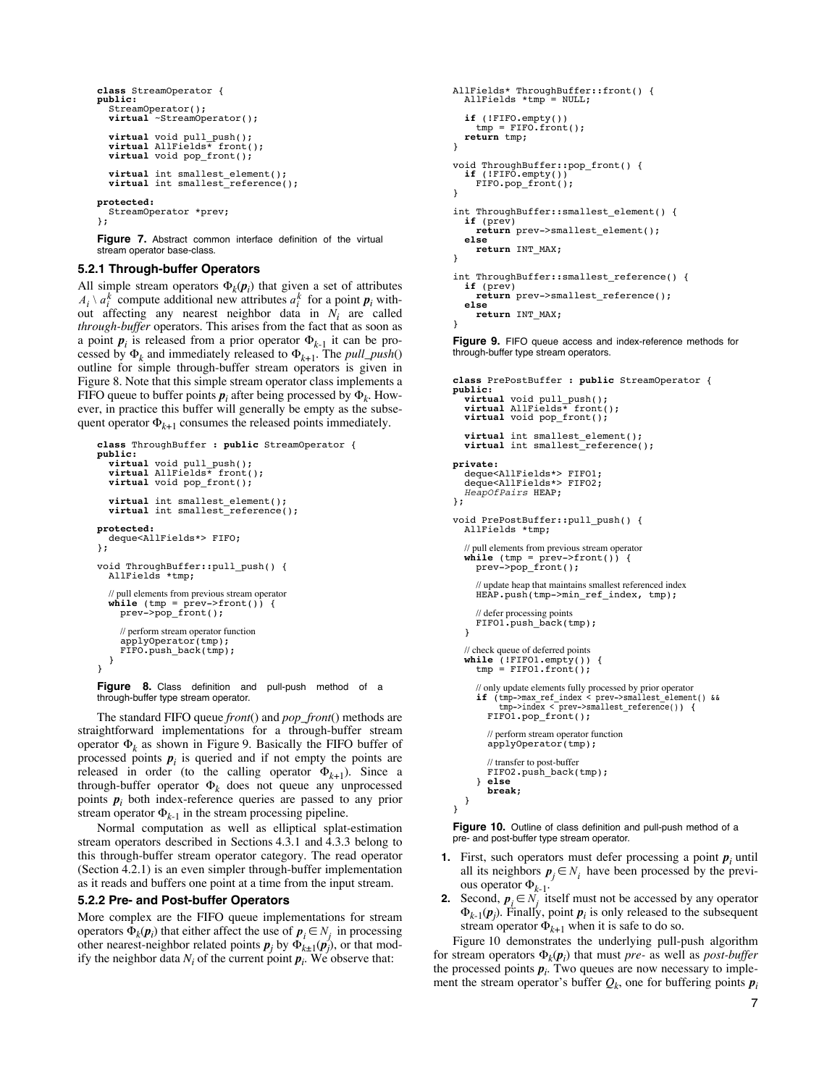```
class StreamOperator {
   public: StreamOperator();
    virtual ~StreamOperator();
    virtual void pull_push(); virtual AllFields* front(); virtual void pop_front();
    virtual int smallest_element(); virtual int smallest_reference();
protected:
    StreamOperator *prev;
};
```
Figure 7. Abstract common interface definition of the virtual stream operator base-class.

## **5.2.1 Through-buffer Operators**

All simple stream operators  $\Phi_k(\mathbf{p}_i)$  that given a set of attributes  $A_i \setminus a_i^k$  compute additional new attributes  $a_i^k$  for a point  $p_i$  without affecting any nearest neighbor data in *Ni* are called *through-buffer* operators. This arises from the fact that as soon as a point  $p_i$  is released from a prior operator  $\Phi_{k-1}$  it can be processed by  $\Phi_k$  and immediately released to  $\Phi_{k+1}$ . The *pull\_push*() outline for simple through-buffer stream operators is given in Figure 8. Note that this simple stream operator class implements a FIFO queue to buffer points  $p_i$  after being processed by  $\Phi_k$ . However, in practice this buffer will generally be empty as the subsequent operator  $\Phi_{k+1}$  consumes the released points immediately.

```
class ThroughBuffer : public StreamOperator {
   public: virtual void pull_push(); virtual AllFields* front(); virtual void pop_front();
    virtual int smallest_element(); virtual int smallest_reference();
protected:
    deque<AllFields*> FIFO;
};
void ThroughBuffer::pull_push() {
 AllFields *tmp;
 // pull elements from previous stream operator while (tmp = prev->front()) {
 prev->pop_front();
        // perform stream operator function
        applyOperator(tmp);
        FIFO.push_back(tmp);
    }
}
```
Figure 8. Class definition and pull-push method of a through-buffer type stream operator.

The standard FIFO queue *front*() and *pop\_front*() methods are straightforward implementations for a through-buffer stream operator  $\Phi_k$  as shown in Figure 9. Basically the FIFO buffer of processed points  $p_i$  is queried and if not empty the points are released in order (to the calling operator  $\Phi_{k+1}$ ). Since a through-buffer operator  $\Phi_k$  does not queue any unprocessed points  $p_i$  both index-reference queries are passed to any prior stream operator  $\Phi_{k-1}$  in the stream processing pipeline.

Normal computation as well as elliptical splat-estimation stream operators described in Sections 4.3.1 and 4.3.3 belong to this through-buffer stream operator category. The read operator (Section 4.2.1) is an even simpler through-buffer implementation as it reads and buffers one point at a time from the input stream.

#### **5.2.2 Pre- and Post-buffer Operators**

More complex are the FIFO queue implementations for stream operators  $\Phi_k(\boldsymbol{p}_i)$  that either affect the use of  $\boldsymbol{p}_i \in N_i$  in processing other nearest-neighbor related points  $p_j$  by  $\Phi_{k\pm 1}(p_j)$ , or that modify the neighbor data  $N_i$  of the current point  $p_i$ . We observe that:

```
AllFields* ThroughBuffer::front() {
   AllFields *tmp = NULL;
 if (!FIFO.empty())
 tmp = FIFO.front();
   return tmp;
}
void ThroughBuffer::pop_front() {
   if (!FIFO.empty())
      FIFO.pop_front();
}
int ThroughBuffer::smallest_element() {<br>
if (prev)
   if (prev) return prev->smallest_element(); else return INT_MAX;
}
int ThroughBuffer::smallest_reference() {<br>
if (prev)
  ifference();<br>
else return INT_MAX;
}
```
**Figure 9.** FIFO queue access and index-reference methods for through-buffer type stream operators.

```
class PrePostBuffer : public StreamOperator {
   public: virtual void pull_push(); virtual AllFields* front(); virtual void pop_front();
    virtual int smallest_element(); virtual int smallest_reference();
private: deque<AllFields*> FIFO1;
 deque<AllFields*> FIFO2;
    HeapOfPairs HEAP;
};
void PrePostBuffer::pull_push() {
    AllFields *tmp;
    // pull elements from previous stream operator while (tmp = prev->front()) {
        prev->pop_front();
        // update heap that maintains smallest referenced index HEAP.push(tmp->min_ref_index, tmp);
// defer processing points<br>FIFO1.push_back(tmp);
    }
 // check queue of deferred points while (!FIFO1.empty()) {
 tmp = FIFO1.front();
        // only update elements fully processed by prior operator if (tmp->max_ref_index < prev->smallest_element() && tmp->index < prev->smallest_reference()) {
           FIFO1.pop_front();
            // perform stream operator function
            applyOperator(tmp);
            // transfer to post-buffer
            FIFO2.push_back(tmp);
    } else break; }
}
```
Figure 10. Outline of class definition and pull-push method of a pre- and post-buffer type stream operator.

- **1.** First, such operators must defer processing a point  $p_i$  until all its neighbors  $p_j \in N_i$  have been processed by the previous operator  $\Phi_{k-1}$ .
- **2.** Second,  $p_i \in N$  itself must not be accessed by any operator  $\Phi_{k-1}(\boldsymbol{p}_j)$ . Finally, point  $\boldsymbol{p}_i$  is only released to the subsequent stream operator  $\Phi_{k+1}$  when it is safe to do so.

Figure 10 demonstrates the underlying pull-push algorithm for stream operators  $\Phi_k(\mathbf{p}_i)$  that must *pre-* as well as *post-buffer* the processed points  $p_i$ . Two queues are now necessary to implement the stream operator's buffer  $Q_k$ , one for buffering points  $p_i$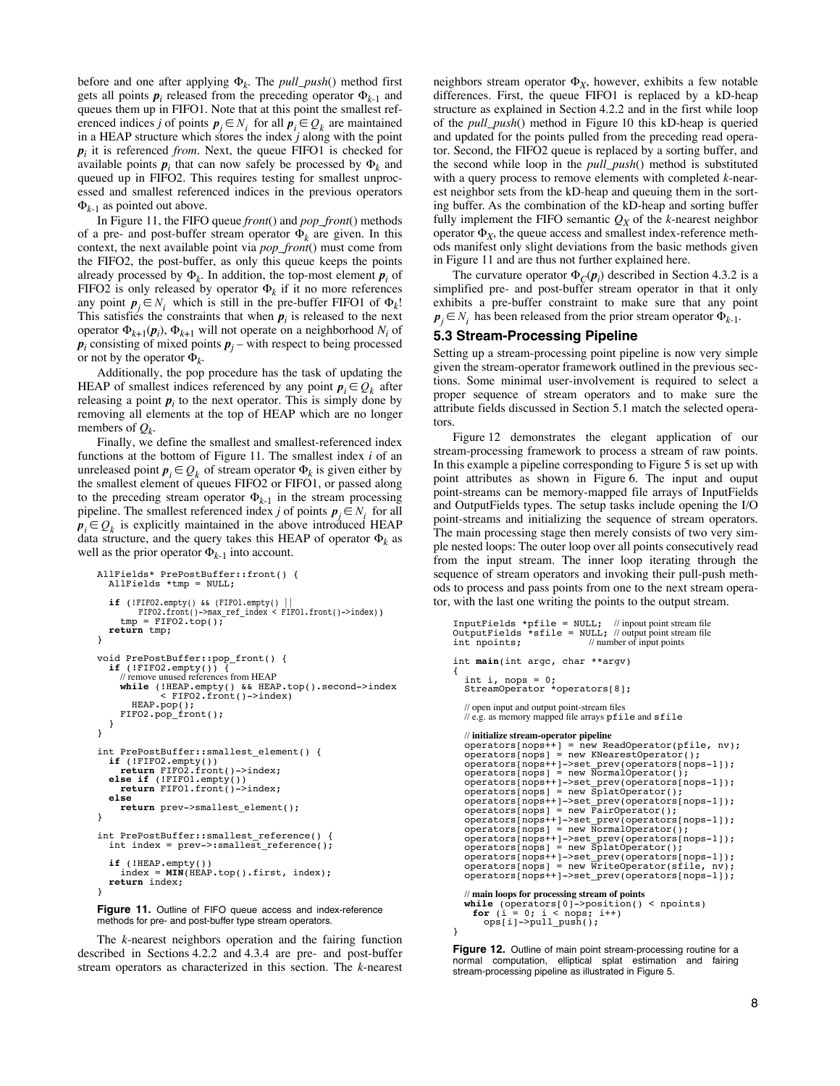before and one after applying  $\Phi_k$ . The *pull\_push*() method first gets all points  $p_i$  released from the preceding operator  $\Phi_{k-1}$  and queues them up in FIFO1. Note that at this point the smallest referenced indices *j* of points  $p_j \in N_i$  for all  $p_i \in Q_k$  are maintained in a HEAP structure which stores the index *j* along with the point *p<sup>i</sup>* it is referenced *from*. Next, the queue FIFO1 is checked for available points  $p_i$  that can now safely be processed by  $\Phi_k$  and queued up in FIFO2. This requires testing for smallest unprocessed and smallest referenced indices in the previous operators  $\Phi_{k-1}$  as pointed out above.

In Figure 11, the FIFO queue *front*() and *pop\_front*() methods of a pre- and post-buffer stream operator  $\Phi_k$  are given. In this context, the next available point via *pop\_front*() must come from the FIFO2, the post-buffer, as only this queue keeps the points already processed by  $\Phi_k$ . In addition, the top-most element  $p_i$  of FIFO2 is only released by operator  $\Phi_k$  if it no more references any point  $p_j \in N_i$  which is still in the pre-buffer FIFO1 of  $\Phi_k!$ This satisfies the constraints that when  $p_i$  is released to the next operator  $\Phi_{k+1}(\boldsymbol{p}_i)$ ,  $\Phi_{k+1}$  will not operate on a neighborhood  $N_i$  of  $p_i$  consisting of mixed points  $p_i$  – with respect to being processed or not by the operator  $\Phi_k$ .

Additionally, the pop procedure has the task of updating the HEAP of smallest indices referenced by any point  $p_i \in Q_k$  after releasing a point  $p_i$  to the next operator. This is simply done by removing all elements at the top of HEAP which are no longer members of  $Q_k$ .

Finally, we define the smallest and smallest-referenced index functions at the bottom of Figure 11. The smallest index *i* of an unreleased point  $p_i \in Q_k$  of stream operator  $\Phi_k$  is given either by the smallest element of queues FIFO2 or FIFO1, or passed along to the preceding stream operator  $\Phi_{k-1}$  in the stream processing pipeline. The smallest referenced index *j* of points  $p_j \in N_i$  for all  $p_i \in Q_k$  is explicitly maintained in the above introduced HEAP data structure, and the query takes this HEAP of operator  $\Phi_k$  as well as the prior operator  $\Phi_{k-1}$  into account.

```
AllFields* PrePostBuffer::front() {
    AllFields *tmp = NULL;
 if (!FIFO2.empty() && (FIFO1.empty() || 
 FIFO2.front()->max_ref_index < FIFO1.front()->index))
       tmp = FIFO2.top();
    return tmp;
}
void PrePostBuffer::pop_front() {<br>
if (!FIFO2.empty()) {<br>
// remove unused references from HEAP
if (!FIFO2.empty()) {<br>
// remove unused references from HEAP<br>
while (!HEAP.empty() && HEAP.top().second->index<br>
< FIFO2.front()->index)
           HEAP.pop();
        FIFO2.pop_front();
    }
}
int PrePostBuffer::smallest_element() {
    if (!FIFO2.empty()) return FIFO2.front()->index; else if (!FIFO1.empty()) return FIFO1.front()->index; else return prev->smallest_element();
}
int PrePostBuffer::smallest_reference() {
   int index = prev->:smallest reference();
 if (!HEAP.empty())
 index = MIN(HEAP.top().first, index); return index;
}
Figure 11. Outline of FIFO queue access and index-reference
```
methods for pre- and post-buffer type stream operators.

The *k*-nearest neighbors operation and the fairing function described in Sections 4.2.2 and 4.3.4 are pre- and post-buffer stream operators as characterized in this section. The *k*-nearest neighbors stream operator  $\Phi_X$ , however, exhibits a few notable differences. First, the queue FIFO1 is replaced by a kD-heap structure as explained in Section 4.2.2 and in the first while loop of the *pull\_push*() method in Figure 10 this kD-heap is queried and updated for the points pulled from the preceding read operator. Second, the FIFO2 queue is replaced by a sorting buffer, and the second while loop in the *pull\_push*() method is substituted with a query process to remove elements with completed *k*-nearest neighbor sets from the kD-heap and queuing them in the sorting buffer. As the combination of the kD-heap and sorting buffer fully implement the FIFO semantic  $Q_X$  of the *k*-nearest neighbor operator  $\Phi_X$ , the queue access and smallest index-reference methods manifest only slight deviations from the basic methods given in Figure 11 and are thus not further explained here.

The curvature operator  $\Phi_C(\boldsymbol{p}_i)$  described in Section 4.3.2 is a simplified pre- and post-buffer stream operator in that it only exhibits a pre-buffer constraint to make sure that any point  $\boldsymbol{p}_j \in N_i$  has been released from the prior stream operator  $\boldsymbol{\Phi}_{k-1}$ .

#### **5.3 Stream-Processing Pipeline**

Setting up a stream-processing point pipeline is now very simple given the stream-operator framework outlined in the previous sections. Some minimal user-involvement is required to select a proper sequence of stream operators and to make sure the attribute fields discussed in Section 5.1 match the selected operators.

Figure 12 demonstrates the elegant application of our stream-processing framework to process a stream of raw points. In this example a pipeline corresponding to Figure 5 is set up with point attributes as shown in Figure 6. The input and ouput point-streams can be memory-mapped file arrays of InputFields and OutputFields types. The setup tasks include opening the I/O point-streams and initializing the sequence of stream operators. The main processing stage then merely consists of two very simple nested loops: The outer loop over all points consecutively read from the input stream. The inner loop iterating through the sequence of stream operators and invoking their pull-push methods to process and pass points from one to the next stream operator, with the last one writing the points to the output stream.

```
InputFields *pfile = NULL; // inpout point stream le
OutputFields *sfile = NULL; // output point stream le
int npoints; // number of input points
int main(int argc, char **argv)
{
int i, nops = 0;<br>StreamOperator *operators[8];
   // open input and output point-stream files <br>// e.g. as memory mapped file arrays \verb!pfile! and<br> \verb!sfile! // initialize stream-operator pipeline
 operators[nops++] = new ReadOperator(pfile, nv);
 operators[nops] = new KNearestOperator();
operators[nops++]->set_prev(operators[nops-1]);<br>operators[nops] = new NormalOperator();<br>operators[nops++]->set_prev(operators[nops-1]);<br>operators[nops++]->set_prev(operators[nops-1]);<br>operators[nops++]->set_prev(operators[
 operators[nops++]->set_prev(operators[nops-1]);
 operators[nops] = new SplatOperator();
 operators[nops++]->set_prev(operators[nops-1]);
 operators[nops] = new WriteOperator(sfile, nv);
     operators[nops++]->set_prev(operators[nops-1]);
     // main loops for processing stream of points while (operators[0]->position() < npoints)
       for (i = 0; i < nops; i++) ops[i]->pull_push();
}
```
**Figure 12.** Outline of main point stream-processing routine for a normal computation, elliptical splat estimation and fairing stream-processing pipeline as illustrated in Figure 5.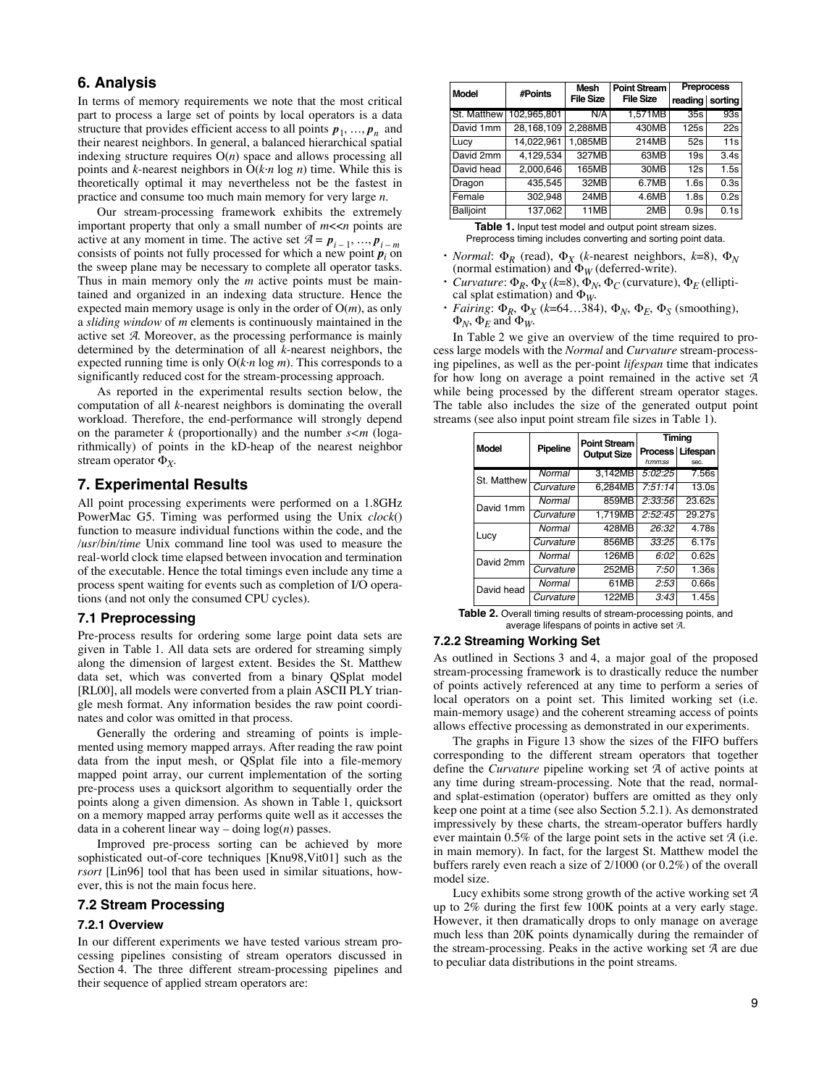# **6. Analysis**

In terms of memory requirements we note that the most critical part to process a large set of points by local operators is a data structure that provides efficient access to all points  $p_1, ..., p_n$  and their nearest neighbors. In general, a balanced hierarchical spatial indexing structure requires O(*n*) space and allows processing all points and *k*-nearest neighbors in O(*k·n* log *n*) time. While this is theoretically optimal it may nevertheless not be the fastest in practice and consume too much main memory for very large *n*.

Our stream-processing framework exhibits the extremely important property that only a small number of *m*<<*n* points are active at any moment in time. The active set  $A = p_{i-1}, ..., p_{i-m}$ consists of points not fully processed for which a new point *p<sup>i</sup>* on the sweep plane may be necessary to complete all operator tasks. Thus in main memory only the *m* active points must be maintained and organized in an indexing data structure. Hence the expected main memory usage is only in the order of O(*m*), as only a *sliding window* of *m* elements is continuously maintained in the active set A. Moreover, as the processing performance is mainly determined by the determination of all *k*-nearest neighbors, the expected running time is only O(*k·n* log *m*). This corresponds to a significantly reduced cost for the stream-processing approach.

As reported in the experimental results section below, the computation of all *k*-nearest neighbors is dominating the overall workload. Therefore, the end-performance will strongly depend on the parameter *k* (proportionally) and the number *s<m* (logarithmically) of points in the kD-heap of the nearest neighbor stream operator  $\Phi_X$ .

# **7. Experimental Results**

All point processing experiments were performed on a 1.8GHz PowerMac G5. Timing was performed using the Unix *clock*() function to measure individual functions within the code, and the */usr/bin/time* Unix command line tool was used to measure the real-world clock time elapsed between invocation and termination of the executable. Hence the total timings even include any time a process spent waiting for events such as completion of I/O operations (and not only the consumed CPU cycles).

## **7.1 Preprocessing**

Pre-process results for ordering some large point data sets are given in Table 1. All data sets are ordered for streaming simply along the dimension of largest extent. Besides the St. Matthew data set, which was converted from a binary QSplat model [RL00], all models were converted from a plain ASCII PLY triangle mesh format. Any information besides the raw point coordinates and color was omitted in that process.

Generally the ordering and streaming of points is implemented using memory mapped arrays. After reading the raw point data from the input mesh, or QSplat file into a file-memory mapped point array, our current implementation of the sorting pre-process uses a quicksort algorithm to sequentially order the points along a given dimension. As shown in Table 1, quicksort on a memory mapped array performs quite well as it accesses the data in a coherent linear way – doing log(*n*) passes.

Improved pre-process sorting can be achieved by more sophisticated out-of-core techniques [Knu98,Vit01] such as the *rsort* [Lin96] tool that has been used in similar situations, however, this is not the main focus here.

## **7.2 Stream Processing**

#### **7.2.1 Overview**

In our different experiments we have tested various stream processing pipelines consisting of stream operators discussed in Section 4. The three different stream-processing pipelines and their sequence of applied stream operators are:

| <b>Model</b>     | #Points      | Mesh             | <b>Point Stream</b> | <b>Preprocess</b> |      |
|------------------|--------------|------------------|---------------------|-------------------|------|
|                  |              | <b>File Size</b> | <b>File Size</b>    | reading sorting   |      |
| St. Matthew I    | 102.965.801  | N/A              | 1,571MB             | 35s               | 93s  |
| David 1mm        | 28, 168, 109 | 2,288MB          | 430MB               | 125s              | 22s  |
| Lucy             | 14,022,961   | 1.085MB          | 214MB               | 52s               | 11s  |
| David 2mm        | 4,129,534    | 327MB            | 63MB                | 19s               | 3.4s |
| David head       | 2,000,646    | 165MB            | 30MB                | 12s               | 1.5s |
| Dragon           | 435,545      | 32MB             | 6.7MB               | 1.6s              | 0.3s |
| Female           | 302,948      | 24MB             | 4.6MB               | 1.8s              | 0.2s |
| <b>Balljoint</b> | 137,062      | 11MB             | 2MB                 | 0.9s              | 0.1s |

**Table 1.** Input test model and output point stream sizes. Preprocess timing includes converting and sorting point data.

- *Normal*:  $\Phi_R$  (read),  $\Phi_X$  (*k*-nearest neighbors, *k*=8),  $\Phi_N$ (normal estimation) and  $\Phi_W$  (deferred-write).
- $Curvature: \Phi_R, \Phi_X (k=8), \Phi_N, \Phi_C$  (curvature),  $\Phi_F$  (elliptical splat estimation) and  $\Phi_W$ .
- *Fairing*:  $\Phi_R$ ,  $\Phi_X$  (*k*=64…384),  $\Phi_N$ ,  $\Phi_E$ ,  $\Phi_S$  (smoothing),  $\Phi_N$ ,  $\Phi_E$  and  $\Phi_W$ .

In Table 2 we give an overview of the time required to process large models with the *Normal* and *Curvature* stream-processing pipelines, as well as the per-point *lifespan* time that indicates for how long on average a point remained in the active set A while being processed by the different stream operator stages. The table also includes the size of the generated output point streams (see also input point stream file sizes in Table 1).

|              | Pipeline  | <b>Point Stream</b> | Timing  |                    |  |
|--------------|-----------|---------------------|---------|--------------------|--|
| <b>Model</b> |           | <b>Output Size</b>  |         | Process   Lifespan |  |
|              |           |                     | h:mm:ss | sec.               |  |
| St. Matthew  | Normal    | 3,142MB             | 5:02:25 | 7.56s              |  |
|              | Curvature | 6.284MB             | 7:51:14 | 13.0s              |  |
| David 1mm    | Normal    | 859MB               | 2:33:56 | 23.62s             |  |
|              | Curvature | 1.719MB             | 2:52:45 | 29.27s             |  |
| Lucy         | Normal    | 428MB               | 26:32   | 4.78s              |  |
|              | Curvature | 856MB               | 33:25   | 6.17s              |  |
| David 2mm    | Normal    | 126MB               | 6:02    | 0.62s              |  |
|              | Curvature | 252MB               | 7:50    | 1.36s              |  |
| David head   | Normal    | 61MB                | 2:53    | 0.66s              |  |
|              | Curvature | 122MB               | 3:43    | 1.45s              |  |

**Table 2.** Overall timing results of stream-processing points, and average lifespans of points in active set A.

## **7.2.2 Streaming Working Set**

As outlined in Sections 3 and 4, a major goal of the proposed stream-processing framework is to drastically reduce the number of points actively referenced at any time to perform a series of local operators on a point set. This limited working set (i.e. main-memory usage) and the coherent streaming access of points allows effective processing as demonstrated in our experiments.

The graphs in Figure 13 show the sizes of the FIFO buffers corresponding to the different stream operators that together define the *Curvature* pipeline working set A of active points at any time during stream-processing. Note that the read, normaland splat-estimation (operator) buffers are omitted as they only keep one point at a time (see also Section 5.2.1). As demonstrated impressively by these charts, the stream-operator buffers hardly ever maintain 0.5% of the large point sets in the active set A (i.e. in main memory). In fact, for the largest St. Matthew model the buffers rarely even reach a size of 2/1000 (or 0.2%) of the overall model size.

Lucy exhibits some strong growth of the active working set A up to 2% during the first few 100K points at a very early stage. However, it then dramatically drops to only manage on average much less than 20K points dynamically during the remainder of the stream-processing. Peaks in the active working set A are due to peculiar data distributions in the point streams.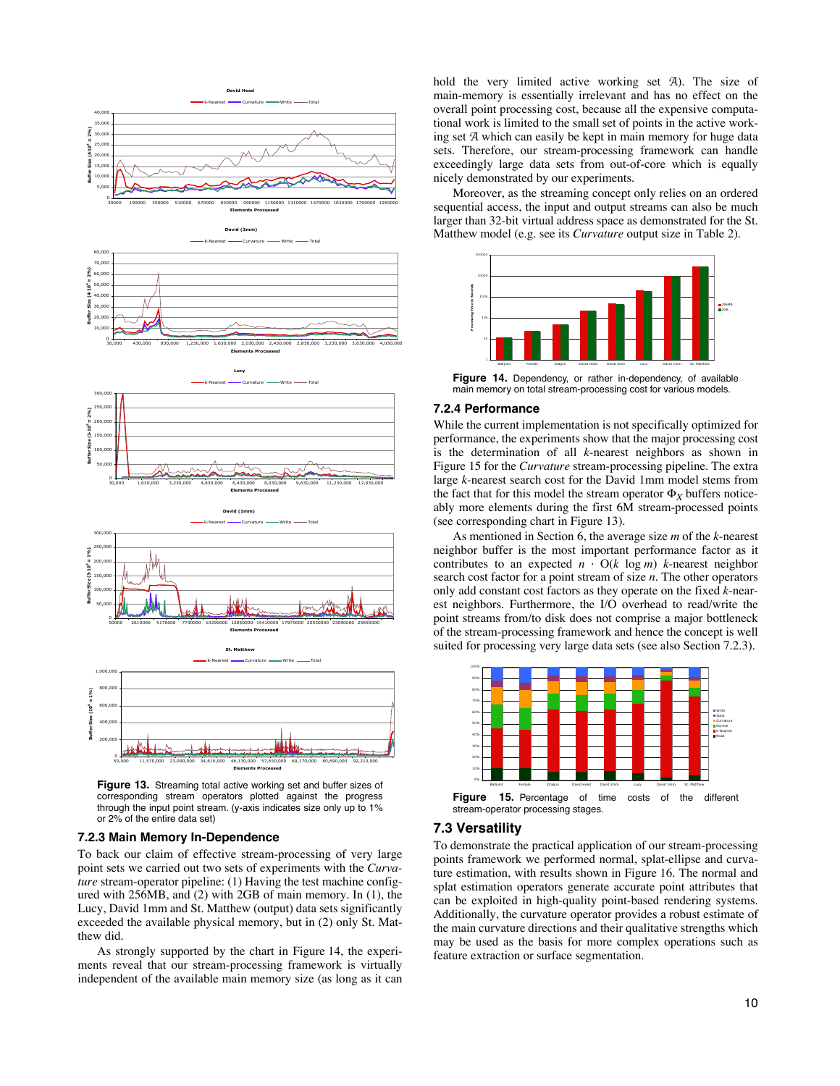

**Figure 13.** Streaming total active working set and buffer sizes of corresponding stream operators plotted against the progress through the input point stream. (y-axis indicates size only up to 1% or 2% of the entire data set)

#### **7.2.3 Main Memory In-Dependence**

To back our claim of effective stream-processing of very large point sets we carried out two sets of experiments with the *Curvature* stream-operator pipeline: (1) Having the test machine configured with 256MB, and (2) with 2GB of main memory. In (1), the Lucy, David 1mm and St. Matthew (output) data sets significantly exceeded the available physical memory, but in (2) only St. Matthew did.

As strongly supported by the chart in Figure 14, the experiments reveal that our stream-processing framework is virtually independent of the available main memory size (as long as it can hold the very limited active working set A). The size of main-memory is essentially irrelevant and has no effect on the overall point processing cost, because all the expensive computational work is limited to the small set of points in the active working set A which can easily be kept in main memory for huge data sets. Therefore, our stream-processing framework can handle exceedingly large data sets from out-of-core which is equally nicely demonstrated by our experiments.

Moreover, as the streaming concept only relies on an ordered sequential access, the input and output streams can also be much larger than 32-bit virtual address space as demonstrated for the St. Matthew model (e.g. see its *Curvature* output size in Table 2).



**Figure 14.** Dependency, or rather in-dependency, of available main memory on total stream-processing cost for various models.

#### **7.2.4 Performance**

While the current implementation is not specifically optimized for performance, the experiments show that the major processing cost is the determination of all *k*-nearest neighbors as shown in Figure 15 for the *Curvature* stream-processing pipeline. The extra large *k*-nearest search cost for the David 1mm model stems from the fact that for this model the stream operator  $\Phi_X$  buffers noticeably more elements during the first 6M stream-processed points (see corresponding chart in Figure 13).

As mentioned in Section 6, the average size *m* of the *k*-nearest neighbor buffer is the most important performance factor as it contributes to an expected  $n \cdot O(k \log m)$  *k*-nearest neighbor search cost factor for a point stream of size *n*. The other operators only add constant cost factors as they operate on the fixed *k*-nearest neighbors. Furthermore, the I/O overhead to read/write the point streams from/to disk does not comprise a major bottleneck of the stream-processing framework and hence the concept is well suited for processing very large data sets (see also Section 7.2.3).



stream-operator processing stages.

### **7.3 Versatility**

To demonstrate the practical application of our stream-processing points framework we performed normal, splat-ellipse and curvature estimation, with results shown in Figure 16. The normal and splat estimation operators generate accurate point attributes that can be exploited in high-quality point-based rendering systems. Additionally, the curvature operator provides a robust estimate of the main curvature directions and their qualitative strengths which may be used as the basis for more complex operations such as feature extraction or surface segmentation.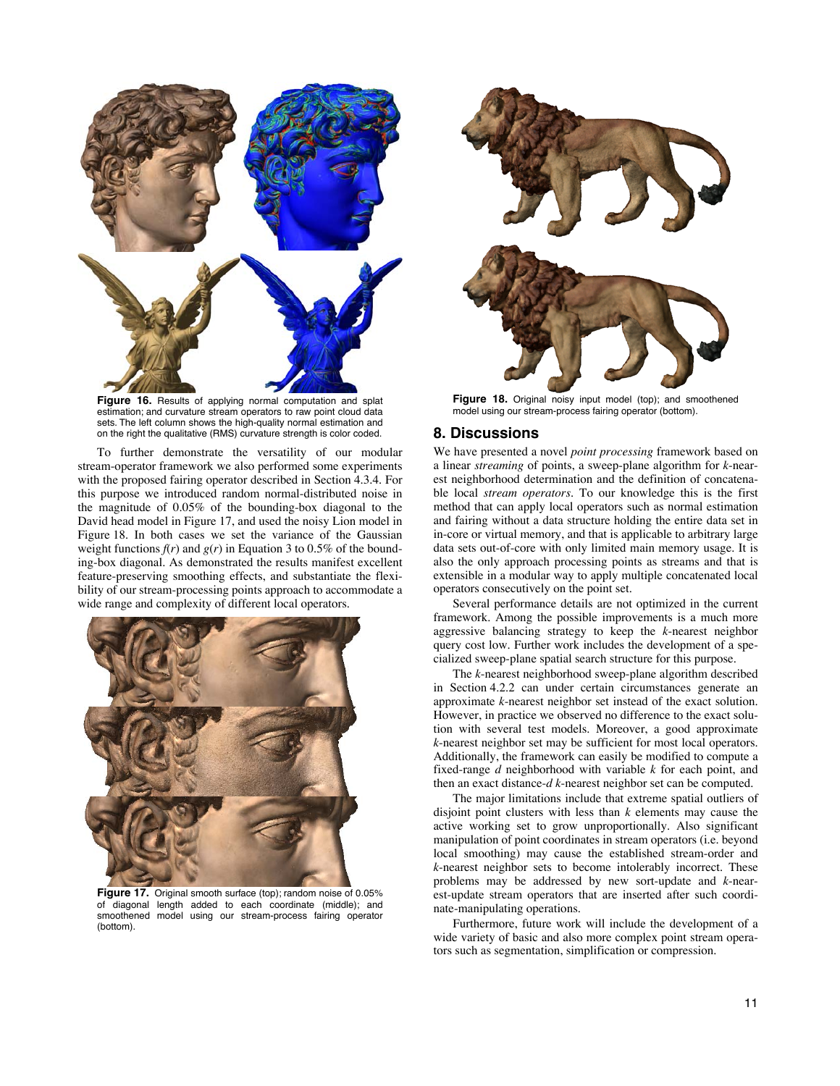

**Figure 16.** Results of applying normal computation and splat estimation; and curvature stream operators to raw point cloud data sets. The left column shows the high-quality normal estimation and on the right the qualitative (RMS) curvature strength is color coded.

To further demonstrate the versatility of our modular stream-operator framework we also performed some experiments with the proposed fairing operator described in Section 4.3.4. For this purpose we introduced random normal-distributed noise in the magnitude of 0.05% of the bounding-box diagonal to the David head model in Figure 17, and used the noisy Lion model in Figure 18. In both cases we set the variance of the Gaussian weight functions  $f(r)$  and  $g(r)$  in Equation 3 to 0.5% of the bounding-box diagonal. As demonstrated the results manifest excellent feature-preserving smoothing effects, and substantiate the flexibility of our stream-processing points approach to accommodate a wide range and complexity of different local operators.



**Figure 17.** Original smooth surface (top); random noise of 0.05% of diagonal length added to each coordinate (middle); and smoothened model using our stream-process fairing operator (bottom).



**Figure 18.** Original noisy input model (top); and smoothened model using our stream-process fairing operator (bottom).

# **8. Discussions**

We have presented a novel *point processing* framework based on a linear *streaming* of points, a sweep-plane algorithm for *k*-nearest neighborhood determination and the definition of concatenable local *stream operators*. To our knowledge this is the first method that can apply local operators such as normal estimation and fairing without a data structure holding the entire data set in in-core or virtual memory, and that is applicable to arbitrary large data sets out-of-core with only limited main memory usage. It is also the only approach processing points as streams and that is extensible in a modular way to apply multiple concatenated local operators consecutively on the point set.

Several performance details are not optimized in the current framework. Among the possible improvements is a much more aggressive balancing strategy to keep the *k*-nearest neighbor query cost low. Further work includes the development of a specialized sweep-plane spatial search structure for this purpose.

The *k*-nearest neighborhood sweep-plane algorithm described in Section 4.2.2 can under certain circumstances generate an approximate *k*-nearest neighbor set instead of the exact solution. However, in practice we observed no difference to the exact solution with several test models. Moreover, a good approximate *k*-nearest neighbor set may be sufficient for most local operators. Additionally, the framework can easily be modified to compute a fixed-range *d* neighborhood with variable *k* for each point, and then an exact distance-*d k*-nearest neighbor set can be computed.

The major limitations include that extreme spatial outliers of disjoint point clusters with less than *k* elements may cause the active working set to grow unproportionally. Also significant manipulation of point coordinates in stream operators (i.e. beyond local smoothing) may cause the established stream-order and *k*-nearest neighbor sets to become intolerably incorrect. These problems may be addressed by new sort-update and *k*-nearest-update stream operators that are inserted after such coordinate-manipulating operations.

Furthermore, future work will include the development of a wide variety of basic and also more complex point stream operators such as segmentation, simplification or compression.